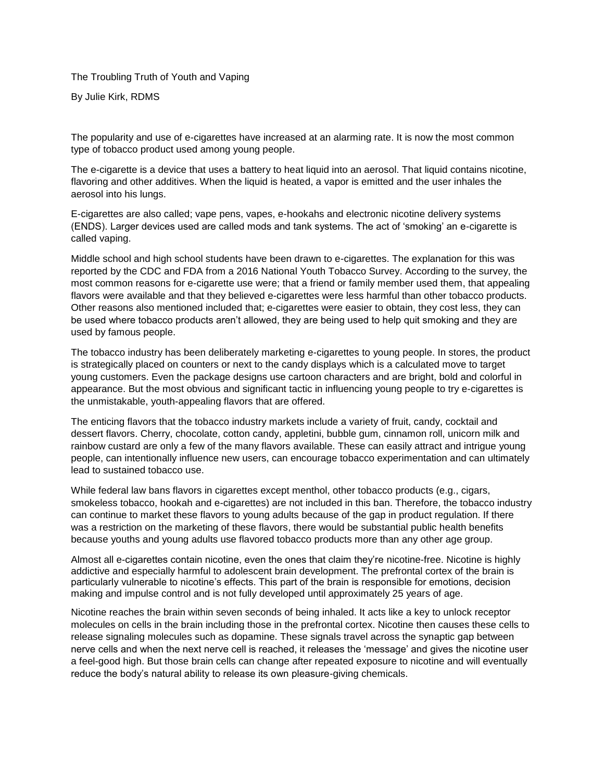The Troubling Truth of Youth and Vaping

By Julie Kirk, RDMS

The popularity and use of e-cigarettes have increased at an alarming rate. It is now the most common type of tobacco product used among young people.

The e-cigarette is a device that uses a battery to heat liquid into an aerosol. That liquid contains nicotine, flavoring and other additives. When the liquid is heated, a vapor is emitted and the user inhales the aerosol into his lungs.

E-cigarettes are also called; vape pens, vapes, e-hookahs and electronic nicotine delivery systems (ENDS). Larger devices used are called mods and tank systems. The act of 'smoking' an e-cigarette is called vaping.

Middle school and high school students have been drawn to e-cigarettes. The explanation for this was reported by the CDC and FDA from a 2016 National Youth Tobacco Survey. According to the survey, the most common reasons for e-cigarette use were; that a friend or family member used them, that appealing flavors were available and that they believed e-cigarettes were less harmful than other tobacco products. Other reasons also mentioned included that; e-cigarettes were easier to obtain, they cost less, they can be used where tobacco products aren't allowed, they are being used to help quit smoking and they are used by famous people.

The tobacco industry has been deliberately marketing e-cigarettes to young people. In stores, the product is strategically placed on counters or next to the candy displays which is a calculated move to target young customers. Even the package designs use cartoon characters and are bright, bold and colorful in appearance. But the most obvious and significant tactic in influencing young people to try e-cigarettes is the unmistakable, youth-appealing flavors that are offered.

The enticing flavors that the tobacco industry markets include a variety of fruit, candy, cocktail and dessert flavors. Cherry, chocolate, cotton candy, appletini, bubble gum, cinnamon roll, unicorn milk and rainbow custard are only a few of the many flavors available. These can easily attract and intrigue young people, can intentionally influence new users, can encourage tobacco experimentation and can ultimately lead to sustained tobacco use.

While federal law bans flavors in cigarettes except menthol, other tobacco products (e.g., cigars, smokeless tobacco, hookah and e-cigarettes) are not included in this ban. Therefore, the tobacco industry can continue to market these flavors to young adults because of the gap in product regulation. If there was a restriction on the marketing of these flavors, there would be substantial public health benefits because youths and young adults use flavored tobacco products more than any other age group.

Almost all e-cigarettes contain nicotine, even the ones that claim they're nicotine-free. Nicotine is highly addictive and especially harmful to adolescent brain development. The prefrontal cortex of the brain is particularly vulnerable to nicotine's effects. This part of the brain is responsible for emotions, decision making and impulse control and is not fully developed until approximately 25 years of age.

Nicotine reaches the brain within seven seconds of being inhaled. It acts like a key to unlock receptor molecules on cells in the brain including those in the prefrontal cortex. Nicotine then causes these cells to release signaling molecules such as dopamine. These signals travel across the synaptic gap between nerve cells and when the next nerve cell is reached, it releases the 'message' and gives the nicotine user a feel-good high. But those brain cells can change after repeated exposure to nicotine and will eventually reduce the body's natural ability to release its own pleasure-giving chemicals.